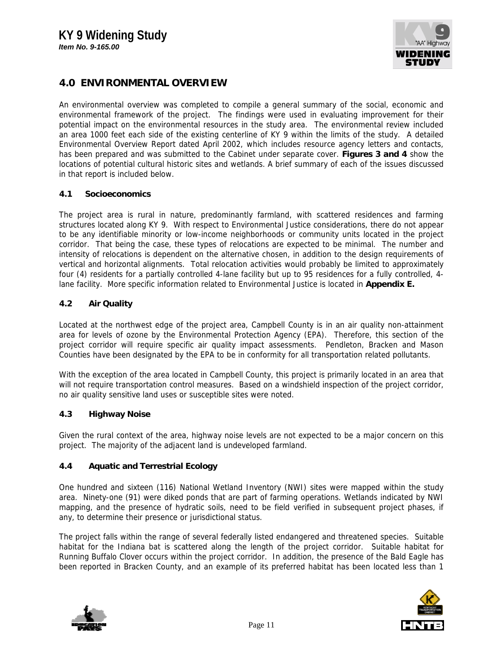

# **4.0 ENVIRONMENTAL OVERVIEW**

An environmental overview was completed to compile a general summary of the social, economic and environmental framework of the project. The findings were used in evaluating improvement for their potential impact on the environmental resources in the study area. The environmental review included an area 1000 feet each side of the existing centerline of KY 9 within the limits of the study. A detailed Environmental Overview Report dated April 2002, which includes resource agency letters and contacts, has been prepared and was submitted to the Cabinet under separate cover. **Figures 3 and 4** show the locations of potential cultural historic sites and wetlands. A brief summary of each of the issues discussed in that report is included below.

#### **4.1 Socioeconomics**

The project area is rural in nature, predominantly farmland, with scattered residences and farming structures located along KY 9. With respect to Environmental Justice considerations, there do not appear to be any identifiable minority or low-income neighborhoods or community units located in the project corridor. That being the case, these types of relocations are expected to be minimal. The number and intensity of relocations is dependent on the alternative chosen, in addition to the design requirements of vertical and horizontal alignments. Total relocation activities would probably be limited to approximately four (4) residents for a partially controlled 4-lane facility but up to 95 residences for a fully controlled, 4 lane facility. More specific information related to Environmental Justice is located in **Appendix E.**

# **4.2 Air Quality**

Located at the northwest edge of the project area, Campbell County is in an air quality non-attainment area for levels of ozone by the Environmental Protection Agency (EPA). Therefore, this section of the project corridor will require specific air quality impact assessments. Pendleton, Bracken and Mason Counties have been designated by the EPA to be in conformity for all transportation related pollutants.

With the exception of the area located in Campbell County, this project is primarily located in an area that will not require transportation control measures. Based on a windshield inspection of the project corridor, no air quality sensitive land uses or susceptible sites were noted.

#### **4.3 Highway Noise**

Given the rural context of the area, highway noise levels are not expected to be a major concern on this project. The majority of the adjacent land is undeveloped farmland.

# **4.4 Aquatic and Terrestrial Ecology**

One hundred and sixteen (116) National Wetland Inventory (NWI) sites were mapped within the study area. Ninety-one (91) were diked ponds that are part of farming operations. Wetlands indicated by NWI mapping, and the presence of hydratic soils, need to be field verified in subsequent project phases, if any, to determine their presence or jurisdictional status.

The project falls within the range of several federally listed endangered and threatened species. Suitable habitat for the Indiana bat is scattered along the length of the project corridor. Suitable habitat for Running Buffalo Clover occurs within the project corridor. In addition, the presence of the Bald Eagle has been reported in Bracken County, and an example of its preferred habitat has been located less than 1



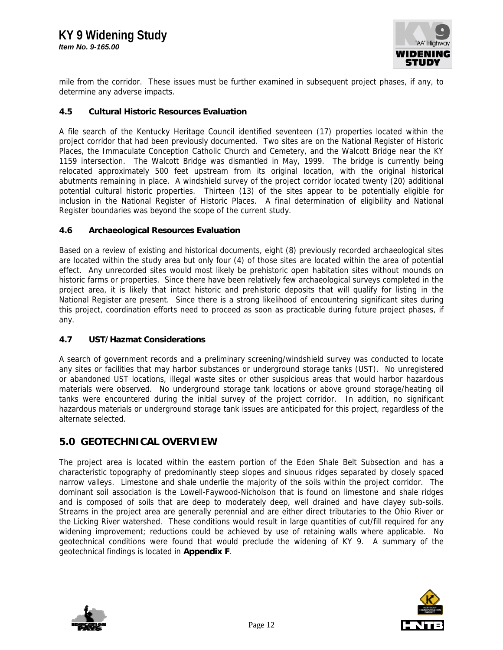

mile from the corridor. These issues must be further examined in subsequent project phases, if any, to determine any adverse impacts.

### **4.5 Cultural Historic Resources Evaluation**

A file search of the Kentucky Heritage Council identified seventeen (17) properties located within the project corridor that had been previously documented. Two sites are on the National Register of Historic Places, the Immaculate Conception Catholic Church and Cemetery, and the Walcott Bridge near the KY 1159 intersection. The Walcott Bridge was dismantled in May, 1999. The bridge is currently being relocated approximately 500 feet upstream from its original location, with the original historical abutments remaining in place. A windshield survey of the project corridor located twenty (20) additional potential cultural historic properties. Thirteen (13) of the sites appear to be potentially eligible for inclusion in the National Register of Historic Places. A final determination of eligibility and National Register boundaries was beyond the scope of the current study.

#### **4.6 Archaeological Resources Evaluation**

Based on a review of existing and historical documents, eight (8) previously recorded archaeological sites are located within the study area but only four (4) of those sites are located within the area of potential effect. Any unrecorded sites would most likely be prehistoric open habitation sites without mounds on historic farms or properties. Since there have been relatively few archaeological surveys completed in the project area, it is likely that intact historic and prehistoric deposits that will qualify for listing in the National Register are present. Since there is a strong likelihood of encountering significant sites during this project, coordination efforts need to proceed as soon as practicable during future project phases, if any.

# **4.7 UST/Hazmat Considerations**

A search of government records and a preliminary screening/windshield survey was conducted to locate any sites or facilities that may harbor substances or underground storage tanks (UST). No unregistered or abandoned UST locations, illegal waste sites or other suspicious areas that would harbor hazardous materials were observed. No underground storage tank locations or above ground storage/heating oil tanks were encountered during the initial survey of the project corridor. In addition, no significant hazardous materials or underground storage tank issues are anticipated for this project, regardless of the alternate selected.

# **5.0 GEOTECHNICAL OVERVIEW**

The project area is located within the eastern portion of the Eden Shale Belt Subsection and has a characteristic topography of predominantly steep slopes and sinuous ridges separated by closely spaced narrow valleys. Limestone and shale underlie the majority of the soils within the project corridor. The dominant soil association is the Lowell-Faywood-Nicholson that is found on limestone and shale ridges and is composed of soils that are deep to moderately deep, well drained and have clayey sub-soils. Streams in the project area are generally perennial and are either direct tributaries to the Ohio River or the Licking River watershed. These conditions would result in large quantities of cut/fill required for any widening improvement; reductions could be achieved by use of retaining walls where applicable. No geotechnical conditions were found that would preclude the widening of KY 9. A summary of the geotechnical findings is located in **Appendix F**.



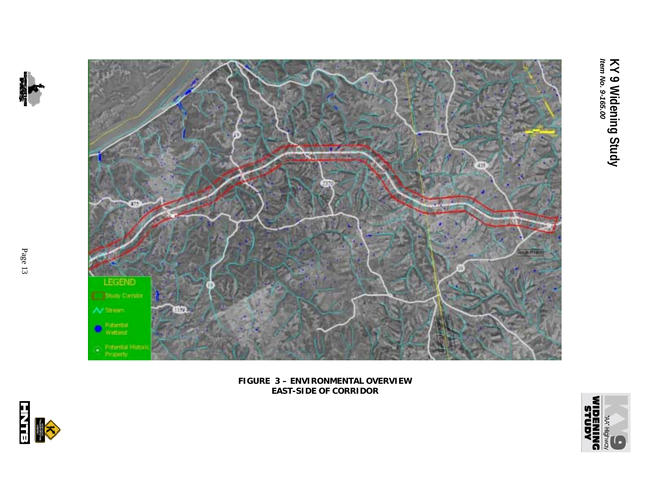

**FIGURE 3 – ENVIRONMENTAL OVERVIEW EAST-SIDE OF CORRIDOR**